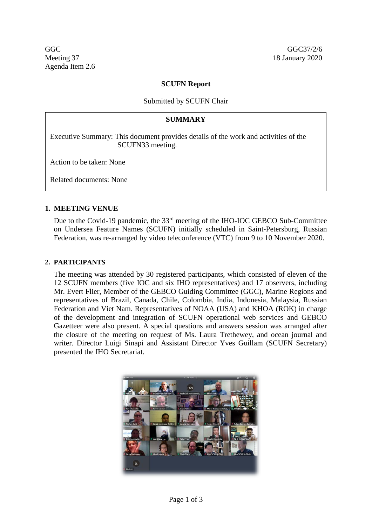## **SCUFN Report**

## Submitted by SCUFN Chair

## **SUMMARY**

Executive Summary: This document provides details of the work and activities of the SCUFN33 meeting.

Action to be taken: None

Related documents: None

## **1. MEETING VENUE**

Due to the Covid-19 pandemic, the 33<sup>rd</sup> meeting of the IHO-IOC GEBCO Sub-Committee on Undersea Feature Names (SCUFN) initially scheduled in Saint-Petersburg, Russian Federation, was re-arranged by video teleconference (VTC) from 9 to 10 November 2020.

#### **2. PARTICIPANTS**

The meeting was attended by 30 registered participants, which consisted of eleven of the 12 SCUFN members (five IOC and six IHO representatives) and 17 observers, including Mr. Evert Flier, Member of the GEBCO Guiding Committee (GGC), Marine Regions and representatives of Brazil, Canada, Chile, Colombia, India, Indonesia, Malaysia, Russian Federation and Viet Nam. Representatives of NOAA (USA) and KHOA (ROK) in charge of the development and integration of SCUFN operational web services and GEBCO Gazetteer were also present. A special questions and answers session was arranged after the closure of the meeting on request of Ms. Laura Trethewey, and ocean journal and writer. Director Luigi Sinapi and Assistant Director Yves Guillam (SCUFN Secretary) presented the IHO Secretariat.

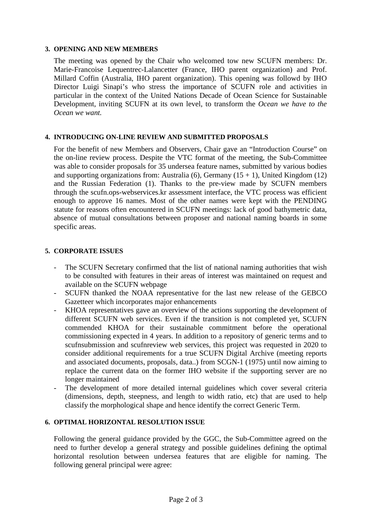#### **3. OPENING AND NEW MEMBERS**

The meeting was opened by the Chair who welcomed tow new SCUFN members: Dr. Marie-Francoise Lequentrec-Lalancetter (France, IHO parent organization) and Prof. Millard Coffin (Australia, IHO parent organization). This opening was followd by IHO Director Luigi Sinapi's who stress the importance of SCUFN role and activities in particular in the context of the United Nations Decade of Ocean Science for Sustainable Development, inviting SCUFN at its own level, to transform the *Ocean we have to the Ocean we want.*

## **4. INTRODUCING ON-LINE REVIEW AND SUBMITTED PROPOSALS**

For the benefit of new Members and Observers, Chair gave an "Introduction Course" on the on-line review process. Despite the VTC format of the meeting, the Sub-Committee was able to consider proposals for 35 undersea feature names, submitted by various bodies and supporting organizations from: Australia (6), Germany  $(15 + 1)$ , United Kingdom  $(12)$ and the Russian Federation (1). Thanks to the pre-view made by SCUFN members through the scufn.ops-webservices.kr assessment interface, the VTC process was efficient enough to approve 16 names. Most of the other names were kept with the PENDING statute for reasons often encountered in SCUFN meetings: lack of good bathymetric data, absence of mutual consultations between proposer and national naming boards in some specific areas.

## **5. CORPORATE ISSUES**

- The SCUFN Secretary confirmed that the list of national naming authorities that wish to be consulted with features in their areas of interest was maintained on request and available on the SCUFN webpage
- SCUFN thanked the NOAA representative for the last new release of the GEBCO Gazetteer which incorporates major enhancements
- KHOA representatives gave an overview of the actions supporting the development of different SCUFN web services. Even if the transition is not completed yet, SCUFN commended KHOA for their sustainable commitment before the operational commissioning expected in 4 years. In addition to a repository of generic terms and to scufnsubmission and scufnreview web services, this project was requested in 2020 to consider additional requirements for a true SCUFN Digital Archive (meeting reports and associated documents, proposals, data..) from SCGN-1 (1975) until now aiming to replace the current data on the former IHO website if the supporting server are no longer maintained
- The development of more detailed internal guidelines which cover several criteria (dimensions, depth, steepness, and length to width ratio, etc) that are used to help classify the morphological shape and hence identify the correct Generic Term.

## **6. OPTIMAL HORIZONTAL RESOLUTION ISSUE**

Following the general guidance provided by the GGC, the Sub-Committee agreed on the need to further develop a general strategy and possible guidelines defining the optimal horizontal resolution between undersea features that are eligible for naming. The following general principal were agree: